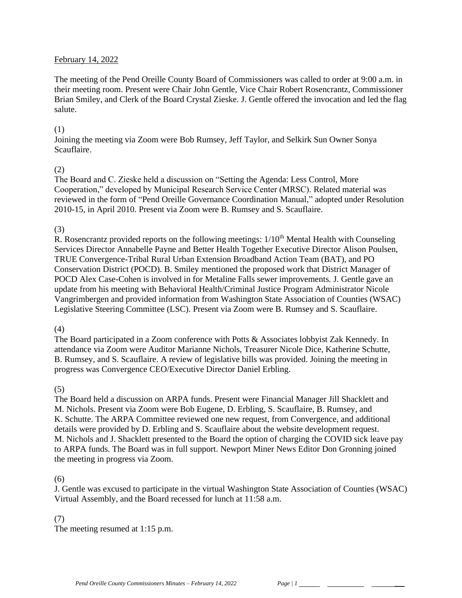#### February 14, 2022

The meeting of the Pend Oreille County Board of Commissioners was called to order at 9:00 a.m. in their meeting room. Present were Chair John Gentle, Vice Chair Robert Rosencrantz, Commissioner Brian Smiley, and Clerk of the Board Crystal Zieske. J. Gentle offered the invocation and led the flag salute.

#### (1)

Joining the meeting via Zoom were Bob Rumsey, Jeff Taylor, and Selkirk Sun Owner Sonya Scauflaire.

#### (2)

The Board and C. Zieske held a discussion on "Setting the Agenda: Less Control, More Cooperation," developed by Municipal Research Service Center (MRSC). Related material was reviewed in the form of "Pend Oreille Governance Coordination Manual," adopted under Resolution 2010-15, in April 2010. Present via Zoom were B. Rumsey and S. Scauflaire.

#### (3)

R. Rosencrantz provided reports on the following meetings:  $1/10<sup>th</sup>$  Mental Health with Counseling Services Director Annabelle Payne and Better Health Together Executive Director Alison Poulsen, TRUE Convergence-Tribal Rural Urban Extension Broadband Action Team (BAT), and PO Conservation District (POCD). B. Smiley mentioned the proposed work that District Manager of POCD Alex Case-Cohen is involved in for Metaline Falls sewer improvements. J. Gentle gave an update from his meeting with Behavioral Health/Criminal Justice Program Administrator Nicole Vangrimbergen and provided information from Washington State Association of Counties (WSAC) Legislative Steering Committee (LSC). Present via Zoom were B. Rumsey and S. Scauflaire.

#### (4)

The Board participated in a Zoom conference with Potts & Associates lobbyist Zak Kennedy. In attendance via Zoom were Auditor Marianne Nichols, Treasurer Nicole Dice, Katherine Schutte, B. Rumsey, and S. Scauflaire. A review of legislative bills was provided. Joining the meeting in progress was Convergence CEO/Executive Director Daniel Erbling.

## (5)

The Board held a discussion on ARPA funds. Present were Financial Manager Jill Shacklett and M. Nichols. Present via Zoom were Bob Eugene, D. Erbling, S. Scauflaire, B. Rumsey, and K. Schutte. The ARPA Committee reviewed one new request, from Convergence, and additional details were provided by D. Erbling and S. Scauflaire about the website development request. M. Nichols and J. Shacklett presented to the Board the option of charging the COVID sick leave pay to ARPA funds. The Board was in full support. Newport Miner News Editor Don Gronning joined the meeting in progress via Zoom.

#### (6)

J. Gentle was excused to participate in the virtual Washington State Association of Counties (WSAC) Virtual Assembly, and the Board recessed for lunch at 11:58 a.m.

## (7)

The meeting resumed at 1:15 p.m.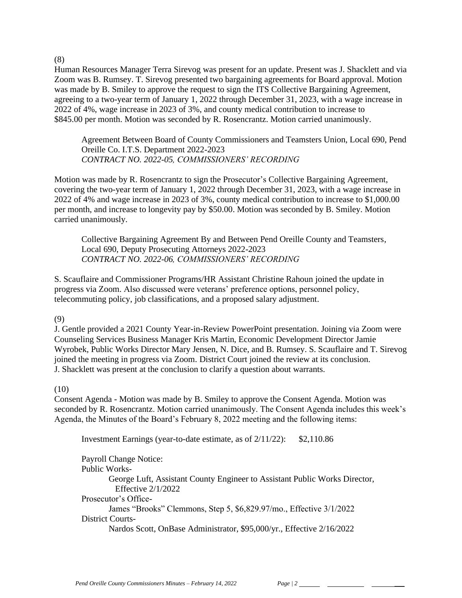(8)

Human Resources Manager Terra Sirevog was present for an update. Present was J. Shacklett and via Zoom was B. Rumsey. T. Sirevog presented two bargaining agreements for Board approval. Motion was made by B. Smiley to approve the request to sign the ITS Collective Bargaining Agreement, agreeing to a two-year term of January 1, 2022 through December 31, 2023, with a wage increase in 2022 of 4%, wage increase in 2023 of 3%, and county medical contribution to increase to \$845.00 per month. Motion was seconded by R. Rosencrantz. Motion carried unanimously.

Agreement Between Board of County Commissioners and Teamsters Union, Local 690, Pend Oreille Co. I.T.S. Department 2022-2023 *CONTRACT NO. 2022-05, COMMISSIONERS' RECORDING*

Motion was made by R. Rosencrantz to sign the Prosecutor's Collective Bargaining Agreement, covering the two-year term of January 1, 2022 through December 31, 2023, with a wage increase in 2022 of 4% and wage increase in 2023 of 3%, county medical contribution to increase to \$1,000.00 per month, and increase to longevity pay by \$50.00. Motion was seconded by B. Smiley. Motion carried unanimously.

Collective Bargaining Agreement By and Between Pend Oreille County and Teamsters, Local 690, Deputy Prosecuting Attorneys 2022-2023 *CONTRACT NO. 2022-06, COMMISSIONERS' RECORDING*

S. Scauflaire and Commissioner Programs/HR Assistant Christine Rahoun joined the update in progress via Zoom. Also discussed were veterans' preference options, personnel policy, telecommuting policy, job classifications, and a proposed salary adjustment.

(9)

J. Gentle provided a 2021 County Year-in-Review PowerPoint presentation. Joining via Zoom were Counseling Services Business Manager Kris Martin, Economic Development Director Jamie Wyrobek, Public Works Director Mary Jensen, N. Dice, and B. Rumsey. S. Scauflaire and T. Sirevog joined the meeting in progress via Zoom. District Court joined the review at its conclusion. J. Shacklett was present at the conclusion to clarify a question about warrants.

## (10)

Consent Agenda - Motion was made by B. Smiley to approve the Consent Agenda. Motion was seconded by R. Rosencrantz. Motion carried unanimously. The Consent Agenda includes this week's Agenda, the Minutes of the Board's February 8, 2022 meeting and the following items:

Investment Earnings (year-to-date estimate, as of 2/11/22): \$2,110.86

Payroll Change Notice: Public Works-George Luft, Assistant County Engineer to Assistant Public Works Director, Effective 2/1/2022 Prosecutor's Office-James "Brooks" Clemmons, Step 5, \$6,829.97/mo., Effective 3/1/2022 District Courts-Nardos Scott, OnBase Administrator, \$95,000/yr., Effective 2/16/2022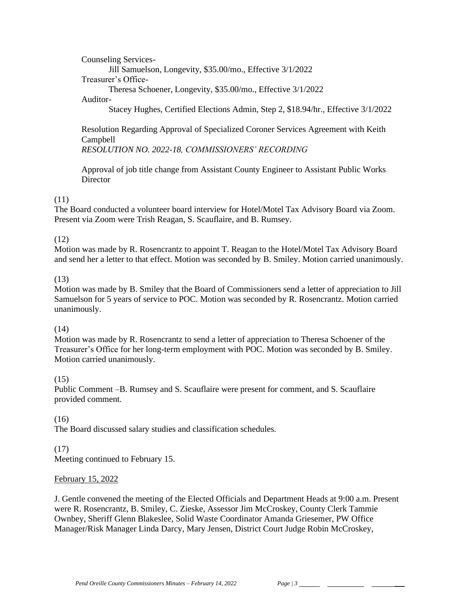Counseling Services-

Jill Samuelson, Longevity, \$35.00/mo., Effective 3/1/2022

Treasurer's Office-

Theresa Schoener, Longevity, \$35.00/mo., Effective 3/1/2022

#### Auditor-

Stacey Hughes, Certified Elections Admin, Step 2, \$18.94/hr., Effective 3/1/2022

Resolution Regarding Approval of Specialized Coroner Services Agreement with Keith Campbell

*RESOLUTION NO. 2022-18, COMMISSIONERS' RECORDING* 

Approval of job title change from Assistant County Engineer to Assistant Public Works **Director** 

# (11)

The Board conducted a volunteer board interview for Hotel/Motel Tax Advisory Board via Zoom. Present via Zoom were Trish Reagan, S. Scauflaire, and B. Rumsey.

# (12)

Motion was made by R. Rosencrantz to appoint T. Reagan to the Hotel/Motel Tax Advisory Board and send her a letter to that effect. Motion was seconded by B. Smiley. Motion carried unanimously.

## (13)

Motion was made by B. Smiley that the Board of Commissioners send a letter of appreciation to Jill Samuelson for 5 years of service to POC. Motion was seconded by R. Rosencrantz. Motion carried unanimously.

## $(14)$

Motion was made by R. Rosencrantz to send a letter of appreciation to Theresa Schoener of the Treasurer's Office for her long-term employment with POC. Motion was seconded by B. Smiley. Motion carried unanimously.

## (15)

Public Comment –B. Rumsey and S. Scauflaire were present for comment, and S. Scauflaire provided comment.

## (16)

The Board discussed salary studies and classification schedules.

# (17)

Meeting continued to February 15.

## February 15, 2022

J. Gentle convened the meeting of the Elected Officials and Department Heads at 9:00 a.m. Present were R. Rosencrantz, B. Smiley, C. Zieske, Assessor Jim McCroskey, County Clerk Tammie Ownbey, Sheriff Glenn Blakeslee, Solid Waste Coordinator Amanda Griesemer, PW Office Manager/Risk Manager Linda Darcy, Mary Jensen, District Court Judge Robin McCroskey,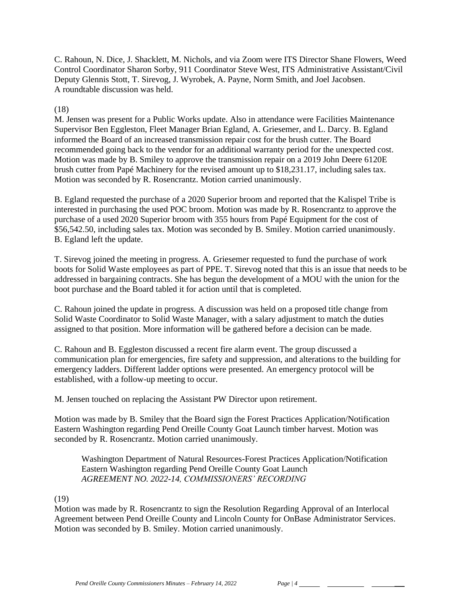C. Rahoun, N. Dice, J. Shacklett, M. Nichols, and via Zoom were ITS Director Shane Flowers, Weed Control Coordinator Sharon Sorby, 911 Coordinator Steve West, ITS Administrative Assistant/Civil Deputy Glennis Stott, T. Sirevog, J. Wyrobek, A. Payne, Norm Smith, and Joel Jacobsen. A roundtable discussion was held.

#### (18)

M. Jensen was present for a Public Works update. Also in attendance were Facilities Maintenance Supervisor Ben Eggleston, Fleet Manager Brian Egland, A. Griesemer, and L. Darcy. B. Egland informed the Board of an increased transmission repair cost for the brush cutter. The Board recommended going back to the vendor for an additional warranty period for the unexpected cost. Motion was made by B. Smiley to approve the transmission repair on a 2019 John Deere 6120E brush cutter from Papé Machinery for the revised amount up to \$18,231.17, including sales tax. Motion was seconded by R. Rosencrantz. Motion carried unanimously.

B. Egland requested the purchase of a 2020 Superior broom and reported that the Kalispel Tribe is interested in purchasing the used POC broom. Motion was made by R. Rosencrantz to approve the purchase of a used 2020 Superior broom with 355 hours from Papé Equipment for the cost of \$56,542.50, including sales tax. Motion was seconded by B. Smiley. Motion carried unanimously. B. Egland left the update.

T. Sirevog joined the meeting in progress. A. Griesemer requested to fund the purchase of work boots for Solid Waste employees as part of PPE. T. Sirevog noted that this is an issue that needs to be addressed in bargaining contracts. She has begun the development of a MOU with the union for the boot purchase and the Board tabled it for action until that is completed.

C. Rahoun joined the update in progress. A discussion was held on a proposed title change from Solid Waste Coordinator to Solid Waste Manager, with a salary adjustment to match the duties assigned to that position. More information will be gathered before a decision can be made.

C. Rahoun and B. Eggleston discussed a recent fire alarm event. The group discussed a communication plan for emergencies, fire safety and suppression, and alterations to the building for emergency ladders. Different ladder options were presented. An emergency protocol will be established, with a follow-up meeting to occur.

M. Jensen touched on replacing the Assistant PW Director upon retirement.

Motion was made by B. Smiley that the Board sign the Forest Practices Application/Notification Eastern Washington regarding Pend Oreille County Goat Launch timber harvest. Motion was seconded by R. Rosencrantz. Motion carried unanimously.

Washington Department of Natural Resources-Forest Practices Application/Notification Eastern Washington regarding Pend Oreille County Goat Launch *AGREEMENT NO. 2022-14, COMMISSIONERS' RECORDING*

(19)

Motion was made by R. Rosencrantz to sign the Resolution Regarding Approval of an Interlocal Agreement between Pend Oreille County and Lincoln County for OnBase Administrator Services. Motion was seconded by B. Smiley. Motion carried unanimously.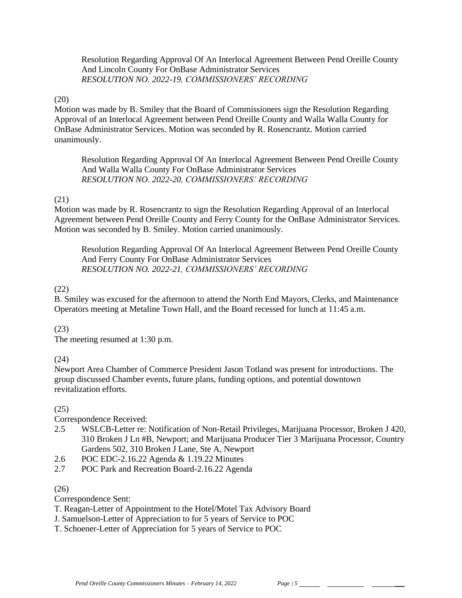Resolution Regarding Approval Of An Interlocal Agreement Between Pend Oreille County And Lincoln County For OnBase Administrator Services *RESOLUTION NO. 2022-19, COMMISSIONERS' RECORDING*

## (20)

Motion was made by B. Smiley that the Board of Commissioners sign the Resolution Regarding Approval of an Interlocal Agreement between Pend Oreille County and Walla Walla County for OnBase Administrator Services. Motion was seconded by R. Rosencrantz. Motion carried unanimously.

Resolution Regarding Approval Of An Interlocal Agreement Between Pend Oreille County And Walla Walla County For OnBase Administrator Services *RESOLUTION NO. 2022-20, COMMISSIONERS' RECORDING*

#### (21)

Motion was made by R. Rosencrantz to sign the Resolution Regarding Approval of an Interlocal Agreement between Pend Oreille County and Ferry County for the OnBase Administrator Services. Motion was seconded by B. Smiley. Motion carried unanimously.

Resolution Regarding Approval Of An Interlocal Agreement Between Pend Oreille County And Ferry County For OnBase Administrator Services *RESOLUTION NO. 2022-21, COMMISSIONERS' RECORDING*

#### (22)

B. Smiley was excused for the afternoon to attend the North End Mayors, Clerks, and Maintenance Operators meeting at Metaline Town Hall, and the Board recessed for lunch at 11:45 a.m.

#### (23)

The meeting resumed at 1:30 p.m.

## (24)

Newport Area Chamber of Commerce President Jason Totland was present for introductions. The group discussed Chamber events, future plans, funding options, and potential downtown revitalization efforts.

## (25)

Correspondence Received:

- 2.5 WSLCB-Letter re: Notification of Non-Retail Privileges, Marijuana Processor, Broken J 420, 310 Broken J Ln #B, Newport; and Marijuana Producer Tier 3 Marijuana Processor, Country Gardens 502, 310 Broken J Lane, Ste A, Newport
- 2.6 POC EDC-2.16.22 Agenda & 1.19.22 Minutes
- 2.7 POC Park and Recreation Board-2.16.22 Agenda

## (26)

Correspondence Sent:

- T. Reagan-Letter of Appointment to the Hotel/Motel Tax Advisory Board
- J. Samuelson-Letter of Appreciation to for 5 years of Service to POC
- T. Schoener-Letter of Appreciation for 5 years of Service to POC